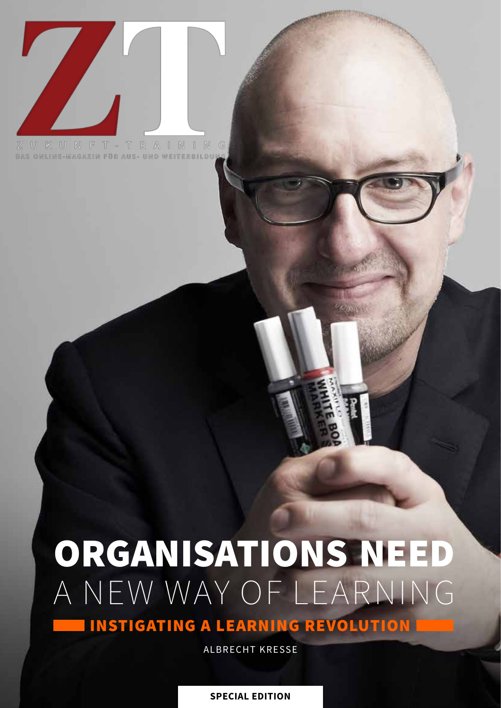UKUNFT-TRAINING DAS ONLINE-MAGAZIN FÜR AUS- UND WEITERBILDUI

# ORGANISATIONS NEED A NEW WAY OF LEARNING

INSTIGATING A LEARNING REVOLUTION

ALBRECHT KRESSE

**SPECIAL EDITION**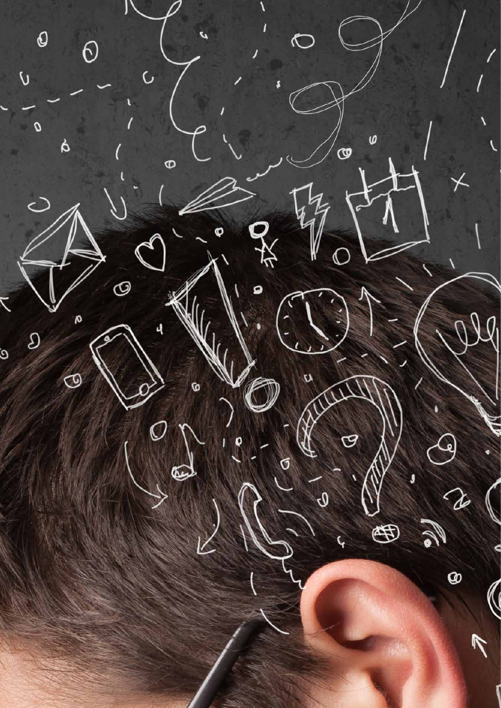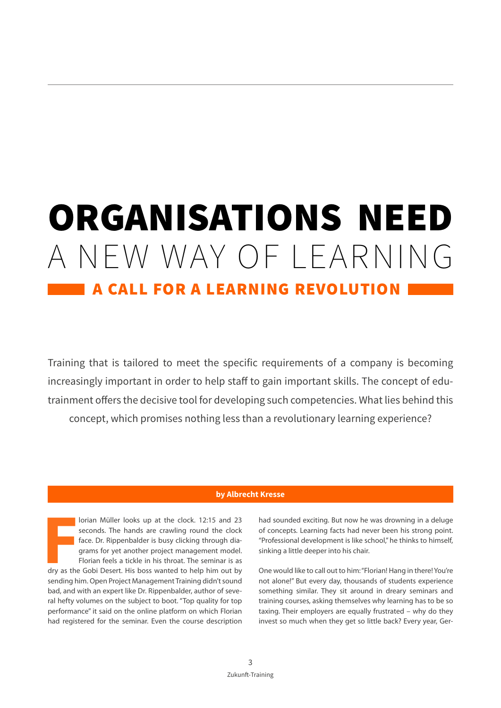# ORGANISATIONS NEED A NEW WAY OF LEARNING CALL FOR A LEARNING REVOLUTI

Training that is tailored to meet the specific requirements of a company is becoming increasingly important in order to help staff to gain important skills. The concept of edutrainment offers the decisive tool for developing such competencies. What lies behind this concept, which promises nothing less than a revolutionary learning experience?

# **by Albrecht Kresse**

**F** dry as the Gobi Desert. His boss wanted to help him out by lorian Müller looks up at the clock. 12:15 and 23 seconds. The hands are crawling round the clock face. Dr. Rippenbalder is busy clicking through diagrams for yet another project management model. Florian feels a tickle in his throat. The seminar is as sending him. Open Project Management Training didn't sound bad, and with an expert like Dr. Rippenbalder, author of several hefty volumes on the subject to boot. "Top quality for top performance" it said on the online platform on which Florian had registered for the seminar. Even the course description

had sounded exciting. But now he was drowning in a deluge of concepts. Learning facts had never been his strong point. "Professional development is like school," he thinks to himself, sinking a little deeper into his chair.

One would like to call out to him: "Florian! Hang in there! You're not alone!" But every day, thousands of students experience something similar. They sit around in dreary seminars and training courses, asking themselves why learning has to be so taxing. Their employers are equally frustrated – why do they invest so much when they get so little back? Every year, Ger-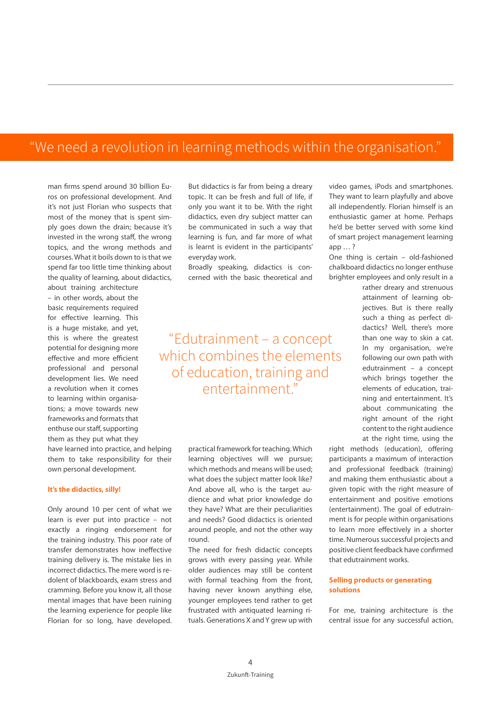# "We need a revolution in learning methods within the organisation."

man firms spend around 30 billion Euros on professional development. And it's not just Florian who suspects that most of the money that is spent simply goes down the drain; because it's invested in the wrong staff, the wrong topics, and the wrong methods and courses. What it boils down to is that we spend far too little time thinking about the quality of learning, about didactics,

about training architecture – in other words, about the basic requirements required for effective learning. This is a huge mistake, and yet, this is where the greatest potential for designing more effective and more efficient professional and personal development lies. We need a revolution when it comes to learning within organisations; a move towards new frameworks and formats that enthuse our staff, supporting them as they put what they have learned into practice, and helping them to take responsibility for their

**It's the didactics, silly!**

own personal development.

Only around 10 per cent of what we learn is ever put into practice – not exactly a ringing endorsement for the training industry. This poor rate of transfer demonstrates how ineffective training delivery is. The mistake lies in incorrect didactics. The mere word is redolent of blackboards, exam stress and cramming. Before you know it, all those mental images that have been ruining the learning experience for people like Florian for so long, have developed.

But didactics is far from being a dreary topic. It can be fresh and full of life, if only you want it to be. With the right didactics, even dry subject matter can be communicated in such a way that learning is fun, and far more of what is learnt is evident in the participants' everyday work.

Broadly speaking, didactics is concerned with the basic theoretical and

"Edutrainment – a concept which combines the elements of education, training and entertainment."

> practical framework for teaching. Which learning objectives will we pursue; which methods and means will be used; what does the subject matter look like? And above all, who is the target audience and what prior knowledge do they have? What are their peculiarities and needs? Good didactics is oriented around people, and not the other way round.

> The need for fresh didactic concepts grows with every passing year. While older audiences may still be content with formal teaching from the front, having never known anything else, younger employees tend rather to get frustrated with antiquated learning rituals. Generations X and Y grew up with

video games, iPods and smartphones. They want to learn playfully and above all independently. Florian himself is an enthusiastic gamer at home. Perhaps he'd be better served with some kind of smart project management learning app … ?

One thing is certain – old-fashioned chalkboard didactics no longer enthuse brighter employees and only result in a

> rather dreary and strenuous attainment of learning objectives. But is there really such a thing as perfect didactics? Well, there's more than one way to skin a cat. In my organisation, we're following our own path with edutrainment – a concept which brings together the elements of education, training and entertainment. It's about communicating the right amount of the right content to the right audience at the right time, using the

right methods (education), offering participants a maximum of interaction and professional feedback (training) and making them enthusiastic about a given topic with the right measure of entertainment and positive emotions (entertainment). The goal of edutrainment is for people within organisations to learn more effectively in a shorter time. Numerous successful projects and positive client feedback have confirmed that edutrainment works.

## **Selling products or generating solutions**

For me, training architecture is the central issue for any successful action,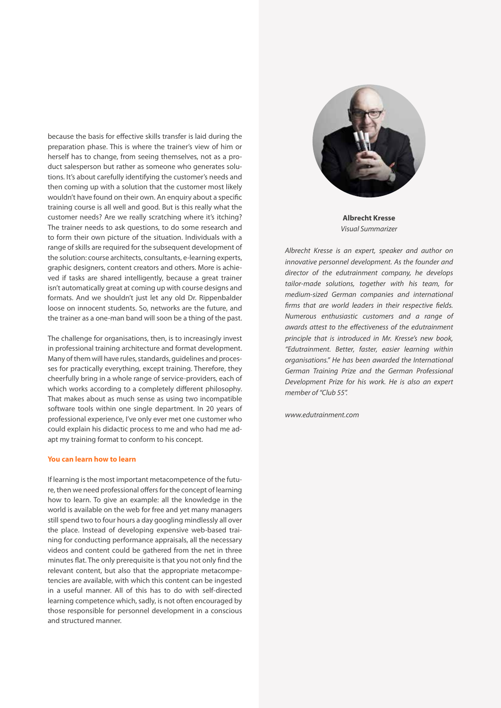because the basis for effective skills transfer is laid during the preparation phase. This is where the trainer's view of him or herself has to change, from seeing themselves, not as a product salesperson but rather as someone who generates solutions. It's about carefully identifying the customer's needs and then coming up with a solution that the customer most likely wouldn't have found on their own. An enquiry about a specific training course is all well and good. But is this really what the customer needs? Are we really scratching where it's itching? The trainer needs to ask questions, to do some research and to form their own picture of the situation. Individuals with a range of skills are required for the subsequent development of the solution: course architects, consultants, e-learning experts, graphic designers, content creators and others. More is achieved if tasks are shared intelligently, because a great trainer isn't automatically great at coming up with course designs and formats. And we shouldn't just let any old Dr. Rippenbalder loose on innocent students. So, networks are the future, and the trainer as a one-man band will soon be a thing of the past.

The challenge for organisations, then, is to increasingly invest in professional training architecture and format development. Many of them will have rules, standards, guidelines and processes for practically everything, except training. Therefore, they cheerfully bring in a whole range of service-providers, each of which works according to a completely different philosophy. That makes about as much sense as using two incompatible software tools within one single department. In 20 years of professional experience, I've only ever met one customer who could explain his didactic process to me and who had me adapt my training format to conform to his concept.

### **You can learn how to learn**

If learning is the most important metacompetence of the future, then we need professional offers for the concept of learning how to learn. To give an example: all the knowledge in the world is available on the web for free and yet many managers still spend two to four hours a day googling mindlessly all over the place. Instead of developing expensive web-based training for conducting performance appraisals, all the necessary videos and content could be gathered from the net in three minutes flat. The only prerequisite is that you not only find the relevant content, but also that the appropriate metacompetencies are available, with which this content can be ingested in a useful manner. All of this has to do with self-directed learning competence which, sadly, is not often encouraged by those responsible for personnel development in a conscious and structured manner.



**Albrecht Kresse** *Visual Summarizer*

*Albrecht Kresse is an expert, speaker and author on innovative personnel development. As the founder and director of the edutrainment company, he develops tailor-made solutions, together with his team, for medium-sized German companies and international firms that are world leaders in their respective fields. Numerous enthusiastic customers and a range of awards attest to the effectiveness of the edutrainment principle that is introduced in Mr. Kresse's new book, "Edutrainment. Better, faster, easier learning within organisations." He has been awarded the International German Training Prize and the German Professional Development Prize for his work. He is also an expert member of "Club 55".*

*www.edutrainment.com*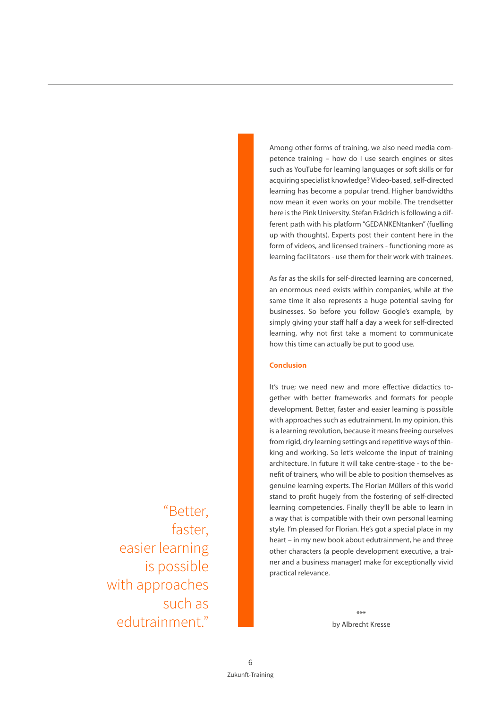Among other forms of training, we also need media competence training – how do I use search engines or sites such as YouTube for learning languages or soft skills or for acquiring specialist knowledge? Video-based, self-directed learning has become a popular trend. Higher bandwidths now mean it even works on your mobile. The trendsetter here is the Pink University. Stefan Frädrich is following a different path with his platform "GEDANKENtanken" (fuelling up with thoughts). Experts post their content here in the form of videos, and licensed trainers - functioning more as learning facilitators - use them for their work with trainees.

As far as the skills for self-directed learning are concerned, an enormous need exists within companies, while at the same time it also represents a huge potential saving for businesses. So before you follow Google's example, by simply giving your staff half a day a week for self-directed learning, why not first take a moment to communicate how this time can actually be put to good use.

## **Conclusion**

It's true; we need new and more effective didactics together with better frameworks and formats for people development. Better, faster and easier learning is possible with approaches such as edutrainment. In my opinion, this is a learning revolution, because it means freeing ourselves from rigid, dry learning settings and repetitive ways of thinking and working. So let's welcome the input of training architecture. In future it will take centre-stage - to the benefit of trainers, who will be able to position themselves as genuine learning experts. The Florian Müllers of this world stand to profit hugely from the fostering of self-directed learning competencies. Finally they'll be able to learn in a way that is compatible with their own personal learning style. I'm pleased for Florian. He's got a special place in my heart – in my new book about edutrainment, he and three other characters (a people development executive, a trainer and a business manager) make for exceptionally vivid practical relevance.

> \*\*\* by Albrecht Kresse

"Better, faster, easier learning is possible with approaches such as edutrainment"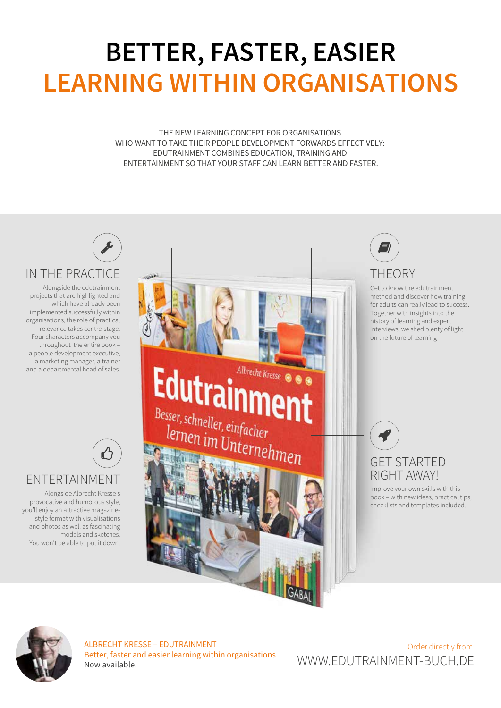# **BETTER, FASTER, EASIER LEARNING WITHIN ORGANISATIONS**

THE NEW LEARNING CONCEPT FOR ORGANISATIONS WHO WANT TO TAKE THEIR PEOPLE DEVELOPMENT FORWARDS EFFECTIVELY: EDUTRAINMENT COMBINES EDUCATION, TRAINING AND ENTERTAINMENT SO THAT YOUR STAFF CAN LEARN BETTER AND FASTER.



Alongside the edutrainment projects that are highlighted and which have already been implemented successfully within organisations, the role of practical relevance takes centre-stage. Four characters accompany you throughout the entire book – a people development executive, a marketing manager, a trainer and a departmental head of sales.



Alongside Albrecht Kresse's provocative and humorous style, you'll enjoy an attractive magazinestyle format with visualisations and photos as well as fascinating models and sketches. You won't be able to put it down.





ALBRECHT KRESSE – EDUTRAINMENT Better, faster and easier learning within organisations Now available!

WWW.FDUTRAINMENT-BUCH.DE Order directly from: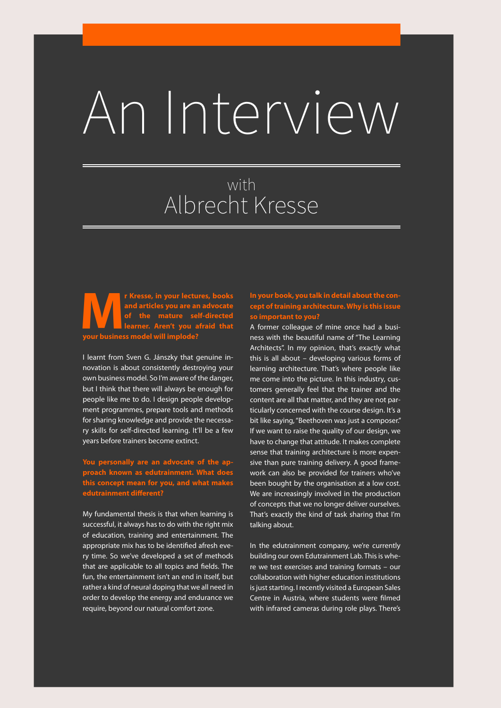# An Interview

# Albrecht Kresse with

**Mr Kresse, in your lectures, books**<br>
and articles you are an advocate<br>
of the mature self-directed<br>
learner. Aren't you afraid that<br>
your business model will implode? **and articles you are an advocate of the mature self-directed learner. Aren't you afraid that**  *<u>r* business model will imploes the product of the product of the state of the state  $\frac{1}{2}$  for  $\frac{1}{2}$  for  $\frac{1}{2}$  for  $\frac{1}{2}$  for  $\frac{1}{2}$  for  $\frac{1}{2}$  for  $\frac{1}{2}$  for  $\frac{1}{2}$  for  $\frac{1}{2}$  for  $\frac{1}{2}$ 

I learnt from Sven G. Jánszky that genuine innovation is about consistently destroying your own business model. So I'm aware of the danger, but I think that there will always be enough for people like me to do. I design people development programmes, prepare tools and methods for sharing knowledge and provide the necessary skills for self-directed learning. It'll be a few years before trainers become extinct.

# **You personally are an advocate of the approach known as edutrainment. What does this concept mean for you, and what makes edutrainment different?**

My fundamental thesis is that when learning is successful, it always has to do with the right mix of education, training and entertainment. The appropriate mix has to be identified afresh every time. So we've developed a set of methods that are applicable to all topics and fields. The fun, the entertainment isn't an end in itself, but rather a kind of neural doping that we all need in order to develop the energy and endurance we require, beyond our natural comfort zone.

# **In your book, you talk in detail about the concept of training architecture. Why is this issue so important to you?**

A former colleague of mine once had a business with the beautiful name of "The Learning Architects". In my opinion, that's exactly what this is all about – developing various forms of learning architecture. That's where people like me come into the picture. In this industry, customers generally feel that the trainer and the content are all that matter, and they are not particularly concerned with the course design. It's a bit like saying, "Beethoven was just a composer." If we want to raise the quality of our design, we have to change that attitude. It makes complete sense that training architecture is more expensive than pure training delivery. A good framework can also be provided for trainers who've been bought by the organisation at a low cost. We are increasingly involved in the production of concepts that we no longer deliver ourselves. That's exactly the kind of task sharing that I'm talking about.

In the edutrainment company, we're currently building our own Edutrainment Lab. This is where we test exercises and training formats – our collaboration with higher education institutions is just starting. I recently visited a European Sales Centre in Austria, where students were filmed with infrared cameras during role plays. There's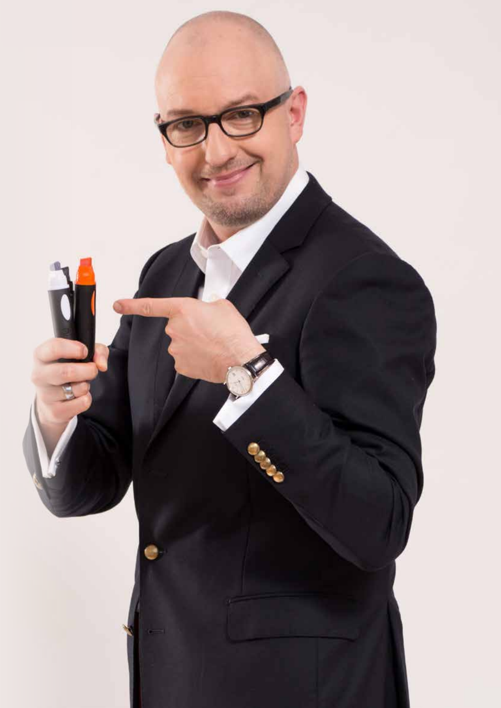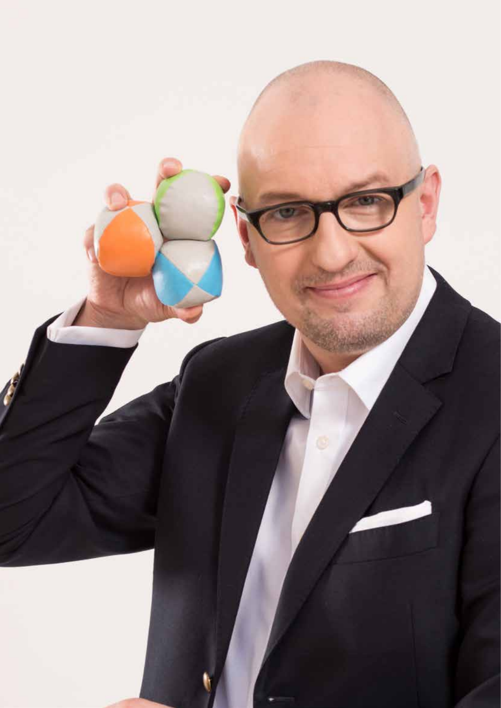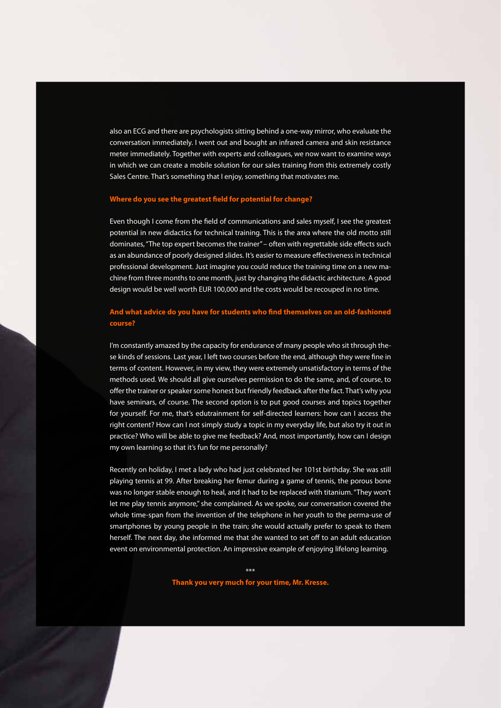also an ECG and there are psychologists sitting behind a one-way mirror, who evaluate the conversation immediately. I went out and bought an infrared camera and skin resistance meter immediately. Together with experts and colleagues, we now want to examine ways in which we can create a mobile solution for our sales training from this extremely costly Sales Centre. That's something that I enjoy, something that motivates me.

## **Where do you see the greatest field for potential for change?**

Even though I come from the field of communications and sales myself, I see the greatest potential in new didactics for technical training. This is the area where the old motto still dominates, "The top expert becomes the trainer" – often with regrettable side effects such as an abundance of poorly designed slides. It's easier to measure effectiveness in technical professional development. Just imagine you could reduce the training time on a new machine from three months to one month, just by changing the didactic architecture. A good design would be well worth EUR 100,000 and the costs would be recouped in no time.

# **And what advice do you have for students who find themselves on an old-fashioned course?**

I'm constantly amazed by the capacity for endurance of many people who sit through these kinds of sessions. Last year, I left two courses before the end, although they were fine in terms of content. However, in my view, they were extremely unsatisfactory in terms of the methods used. We should all give ourselves permission to do the same, and, of course, to offer the trainer or speaker some honest but friendly feedback after the fact. That's why you have seminars, of course. The second option is to put good courses and topics together for yourself. For me, that's edutrainment for self-directed learners: how can I access the right content? How can I not simply study a topic in my everyday life, but also try it out in practice? Who will be able to give me feedback? And, most importantly, how can I design my own learning so that it's fun for me personally?

Recently on holiday, I met a lady who had just celebrated her 101st birthday. She was still playing tennis at 99. After breaking her femur during a game of tennis, the porous bone was no longer stable enough to heal, and it had to be replaced with titanium. "They won't let me play tennis anymore," she complained. As we spoke, our conversation covered the whole time-span from the invention of the telephone in her youth to the perma-use of smartphones by young people in the train; she would actually prefer to speak to them herself. The next day, she informed me that she wanted to set off to an adult education event on environmental protection. An impressive example of enjoying lifelong learning.

\*\*\*

**Thank you very much for your time, Mr. Kresse.**